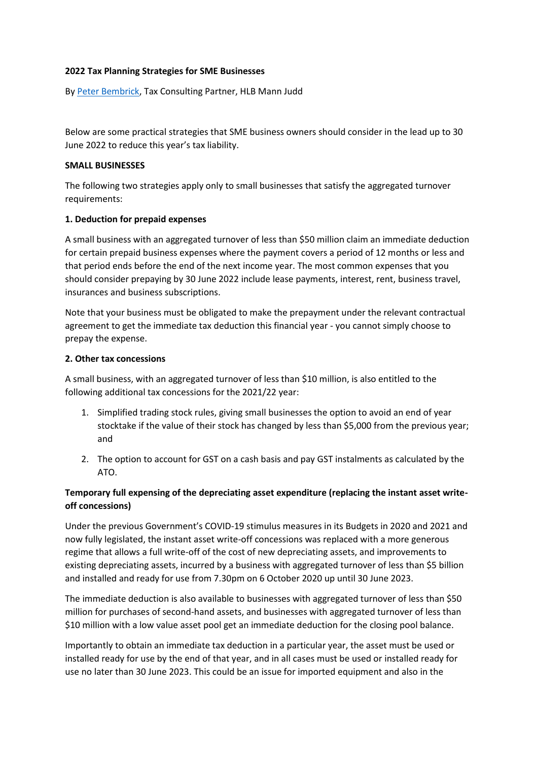### **2022 Tax Planning Strategies for SME Businesses**

B[y Peter Bembrick,](https://hlb.com.au/our-people/peter-bembrick/) Tax Consulting Partner, HLB Mann Judd

Below are some practical strategies that SME business owners should consider in the lead up to 30 June 2022 to reduce this year's tax liability.

#### **SMALL BUSINESSES**

The following two strategies apply only to small businesses that satisfy the aggregated turnover requirements:

### **1. Deduction for prepaid expenses**

A small business with an aggregated turnover of less than \$50 million claim an immediate deduction for certain prepaid business expenses where the payment covers a period of 12 months or less and that period ends before the end of the next income year. The most common expenses that you should consider prepaying by 30 June 2022 include lease payments, interest, rent, business travel, insurances and business subscriptions.

Note that your business must be obligated to make the prepayment under the relevant contractual agreement to get the immediate tax deduction this financial year - you cannot simply choose to prepay the expense.

### **2. Other tax concessions**

A small business, with an aggregated turnover of less than \$10 million, is also entitled to the following additional tax concessions for the 2021/22 year:

- 1. Simplified trading stock rules, giving small businesses the option to avoid an end of year stocktake if the value of their stock has changed by less than \$5,000 from the previous year; and
- 2. The option to account for GST on a cash basis and pay GST instalments as calculated by the ATO.

# **Temporary full expensing of the depreciating asset expenditure (replacing the instant asset writeoff concessions)**

Under the previous Government's COVID-19 stimulus measures in its Budgets in 2020 and 2021 and now fully legislated, the instant asset write-off concessions was replaced with a more generous regime that allows a full write-off of the cost of new depreciating assets, and improvements to existing depreciating assets, incurred by a business with aggregated turnover of less than \$5 billion and installed and ready for use from 7.30pm on 6 October 2020 up until 30 June 2023.

The immediate deduction is also available to businesses with aggregated turnover of less than \$50 million for purchases of second-hand assets, and businesses with aggregated turnover of less than \$10 million with a low value asset pool get an immediate deduction for the closing pool balance.

Importantly to obtain an immediate tax deduction in a particular year, the asset must be used or installed ready for use by the end of that year, and in all cases must be used or installed ready for use no later than 30 June 2023. This could be an issue for imported equipment and also in the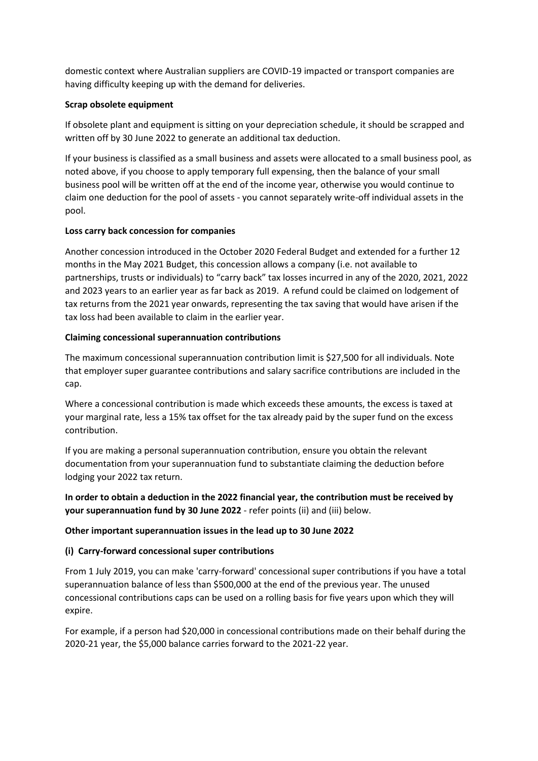domestic context where Australian suppliers are COVID-19 impacted or transport companies are having difficulty keeping up with the demand for deliveries.

## **Scrap obsolete equipment**

If obsolete plant and equipment is sitting on your depreciation schedule, it should be scrapped and written off by 30 June 2022 to generate an additional tax deduction.

If your business is classified as a small business and assets were allocated to a small business pool, as noted above, if you choose to apply temporary full expensing, then the balance of your small business pool will be written off at the end of the income year, otherwise you would continue to claim one deduction for the pool of assets - you cannot separately write-off individual assets in the pool.

### **Loss carry back concession for companies**

Another concession introduced in the October 2020 Federal Budget and extended for a further 12 months in the May 2021 Budget, this concession allows a company (i.e. not available to partnerships, trusts or individuals) to "carry back" tax losses incurred in any of the 2020, 2021, 2022 and 2023 years to an earlier year as far back as 2019. A refund could be claimed on lodgement of tax returns from the 2021 year onwards, representing the tax saving that would have arisen if the tax loss had been available to claim in the earlier year.

### **Claiming concessional superannuation contributions**

The maximum concessional superannuation contribution limit is \$27,500 for all individuals. Note that employer super guarantee contributions and salary sacrifice contributions are included in the cap.

Where a concessional contribution is made which exceeds these amounts, the excess is taxed at your marginal rate, less a 15% tax offset for the tax already paid by the super fund on the excess contribution.

If you are making a personal superannuation contribution, ensure you obtain the relevant documentation from your superannuation fund to substantiate claiming the deduction before lodging your 2022 tax return.

**In order to obtain a deduction in the 2022 financial year, the contribution must be received by your superannuation fund by 30 June 2022** - refer points (ii) and (iii) below.

## **Other important superannuation issues in the lead up to 30 June 2022**

## **(i) Carry-forward concessional super contributions**

From 1 July 2019, you can make 'carry-forward' concessional super contributions if you have a total superannuation balance of less than \$500,000 at the end of the previous year. The unused concessional contributions caps can be used on a rolling basis for five years upon which they will expire.

For example, if a person had \$20,000 in concessional contributions made on their behalf during the 2020-21 year, the \$5,000 balance carries forward to the 2021-22 year.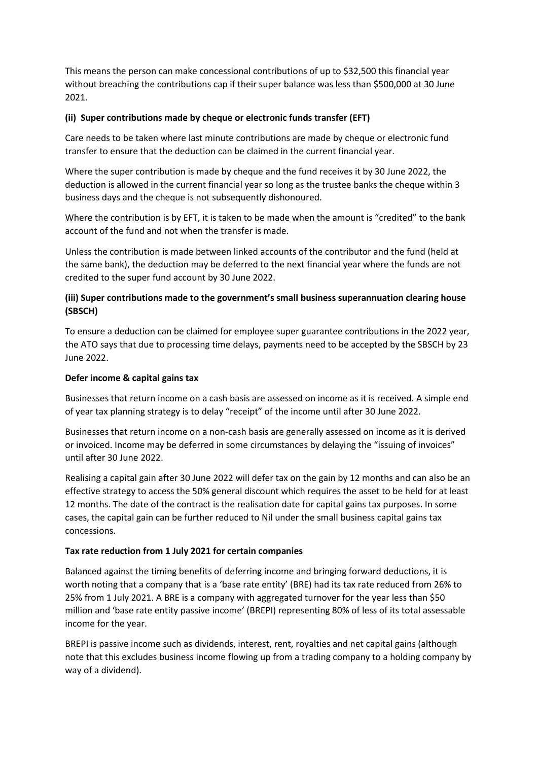This means the person can make concessional contributions of up to \$32,500 this financial year without breaching the contributions cap if their super balance was less than \$500,000 at 30 June 2021.

### **(ii) Super contributions made by cheque or electronic funds transfer (EFT)**

Care needs to be taken where last minute contributions are made by cheque or electronic fund transfer to ensure that the deduction can be claimed in the current financial year.

Where the super contribution is made by cheque and the fund receives it by 30 June 2022, the deduction is allowed in the current financial year so long as the trustee banks the cheque within 3 business days and the cheque is not subsequently dishonoured.

Where the contribution is by EFT, it is taken to be made when the amount is "credited" to the bank account of the fund and not when the transfer is made.

Unless the contribution is made between linked accounts of the contributor and the fund (held at the same bank), the deduction may be deferred to the next financial year where the funds are not credited to the super fund account by 30 June 2022.

# **(iii) Super contributions made to the government's small business superannuation clearing house (SBSCH)**

To ensure a deduction can be claimed for employee super guarantee contributions in the 2022 year, the ATO says that due to processing time delays, payments need to be accepted by the SBSCH by 23 June 2022.

## **Defer income & capital gains tax**

Businesses that return income on a cash basis are assessed on income as it is received. A simple end of year tax planning strategy is to delay "receipt" of the income until after 30 June 2022.

Businesses that return income on a non-cash basis are generally assessed on income as it is derived or invoiced. Income may be deferred in some circumstances by delaying the "issuing of invoices" until after 30 June 2022.

Realising a capital gain after 30 June 2022 will defer tax on the gain by 12 months and can also be an effective strategy to access the 50% general discount which requires the asset to be held for at least 12 months. The date of the contract is the realisation date for capital gains tax purposes. In some cases, the capital gain can be further reduced to Nil under the small business capital gains tax concessions.

## **Tax rate reduction from 1 July 2021 for certain companies**

Balanced against the timing benefits of deferring income and bringing forward deductions, it is worth noting that a company that is a 'base rate entity' (BRE) had its tax rate reduced from 26% to 25% from 1 July 2021. A BRE is a company with aggregated turnover for the year less than \$50 million and 'base rate entity passive income' (BREPI) representing 80% of less of its total assessable income for the year.

BREPI is passive income such as dividends, interest, rent, royalties and net capital gains (although note that this excludes business income flowing up from a trading company to a holding company by way of a dividend).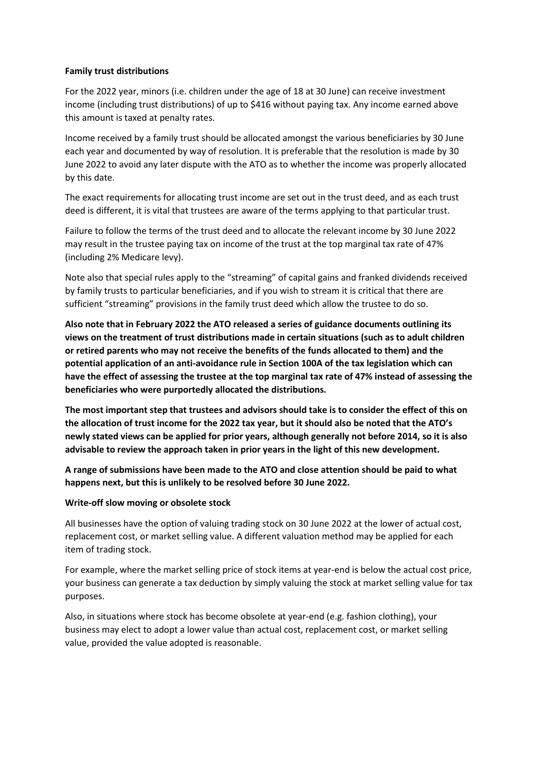### **Family trust distributions**

For the 2022 year, minors (i.e. children under the age of 18 at 30 June) can receive investment income (including trust distributions) of up to \$416 without paying tax. Any income earned above this amount is taxed at penalty rates.

Income received by a family trust should be allocated amongst the various beneficiaries by 30 June each year and documented by way of resolution. It is preferable that the resolution is made by 30 June 2022 to avoid any later dispute with the ATO as to whether the income was properly allocated by this date.

The exact requirements for allocating trust income are set out in the trust deed, and as each trust deed is different, it is vital that trustees are aware of the terms applying to that particular trust.

Failure to follow the terms of the trust deed and to allocate the relevant income by 30 June 2022 may result in the trustee paying tax on income of the trust at the top marginal tax rate of 47% (including 2% Medicare levy).

Note also that special rules apply to the "streaming" of capital gains and franked dividends received by family trusts to particular beneficiaries, and if you wish to stream it is critical that there are sufficient "streaming" provisions in the family trust deed which allow the trustee to do so.

**Also note that in February 2022 the ATO released a series of guidance documents outlining its views on the treatment of trust distributions made in certain situations (such as to adult children or retired parents who may not receive the benefits of the funds allocated to them) and the potential application of an anti-avoidance rule in Section 100A of the tax legislation which can have the effect of assessing the trustee at the top marginal tax rate of 47% instead of assessing the beneficiaries who were purportedly allocated the distributions.** 

**The most important step that trustees and advisors should take is to consider the effect of this on the allocation of trust income for the 2022 tax year, but it should also be noted that the ATO's newly stated views can be applied for prior years, although generally not before 2014, so it is also advisable to review the approach taken in prior years in the light of this new development.**

**A range of submissions have been made to the ATO and close attention should be paid to what happens next, but this is unlikely to be resolved before 30 June 2022.**

## **Write-off slow moving or obsolete stock**

All businesses have the option of valuing trading stock on 30 June 2022 at the lower of actual cost, replacement cost, or market selling value. A different valuation method may be applied for each item of trading stock.

For example, where the market selling price of stock items at year-end is below the actual cost price, your business can generate a tax deduction by simply valuing the stock at market selling value for tax purposes.

Also, in situations where stock has become obsolete at year-end (e.g. fashion clothing), your business may elect to adopt a lower value than actual cost, replacement cost, or market selling value, provided the value adopted is reasonable.